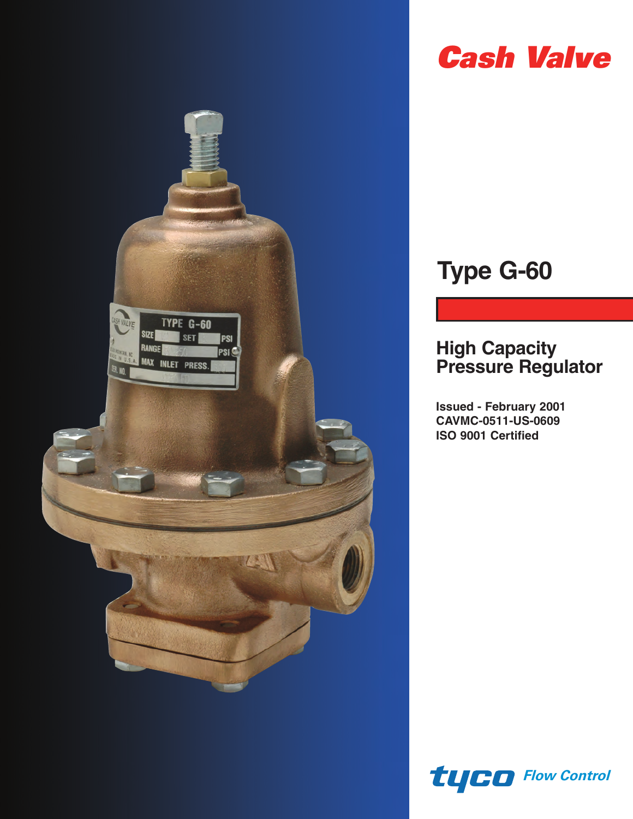

# *Cash Valve*

# **Type G-60**

### **High Capacity Pressure Regulator**

**Issued - February 2001 CAVMC-0511-US-0609 ISO 9001 Certified**

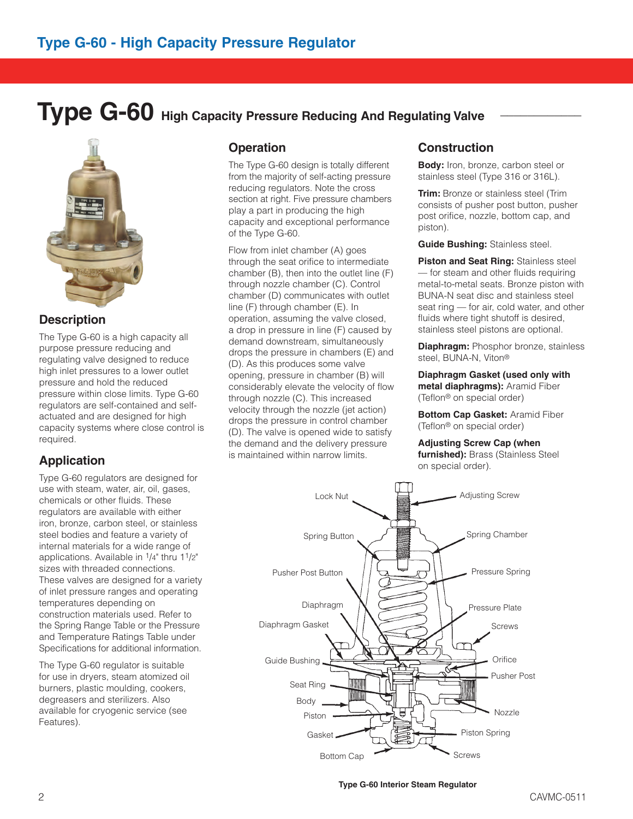## **Type G-60** High Capacity Pressure Reducing And Regulating Valve



#### **Description**

The Type G-60 is a high capacity all purpose pressure reducing and regulating valve designed to reduce high inlet pressures to a lower outlet pressure and hold the reduced pressure within close limits. Type G-60 regulators are self-contained and selfactuated and are designed for high capacity systems where close control is required.

### **Application**

Type G-60 regulators are designed for use with steam, water, air, oil, gases, chemicals or other fluids. These regulators are available with either iron, bronze, carbon steel, or stainless steel bodies and feature a variety of internal materials for a wide range of applications. Available in  $1/4$ " thru  $11/2$ " sizes with threaded connections. These valves are designed for a variety of inlet pressure ranges and operating temperatures depending on construction materials used. Refer to the Spring Range Table or the Pressure and Temperature Ratings Table under Specifications for additional information.

The Type G-60 regulator is suitable for use in dryers, steam atomized oil burners, plastic moulding, cookers, degreasers and sterilizers. Also available for cryogenic service (see Features).

#### **Operation**

The Type G-60 design is totally different from the majority of self-acting pressure reducing regulators. Note the cross section at right. Five pressure chambers play a part in producing the high capacity and exceptional performance of the Type G-60.

Flow from inlet chamber (A) goes through the seat orifice to intermediate chamber (B), then into the outlet line (F) through nozzle chamber (C). Control chamber (D) communicates with outlet line (F) through chamber (E). In operation, assuming the valve closed, a drop in pressure in line (F) caused by demand downstream, simultaneously drops the pressure in chambers (E) and (D). As this produces some valve opening, pressure in chamber (B) will considerably elevate the velocity of flow through nozzle (C). This increased velocity through the nozzle (jet action) drops the pressure in control chamber (D). The valve is opened wide to satisfy the demand and the delivery pressure is maintained within narrow limits.

#### **Construction**

**Body:** Iron, bronze, carbon steel or stainless steel (Type 316 or 316L).

**Trim:** Bronze or stainless steel (Trim consists of pusher post button, pusher post orifice, nozzle, bottom cap, and piston).

**Guide Bushing:** Stainless steel.

**Piston and Seat Ring:** Stainless steel — for steam and other fluids requiring metal-to-metal seats. Bronze piston with BUNA-N seat disc and stainless steel seat ring — for air, cold water, and other fluids where tight shutoff is desired, stainless steel pistons are optional.

**Diaphragm:** Phosphor bronze, stainless steel, BUNA-N, Viton®

**Diaphragm Gasket (used only with metal diaphragms):** Aramid Fiber (Teflon® on special order)

**Bottom Cap Gasket:** Aramid Fiber (Teflon® on special order)

**Adjusting Screw Cap (when furnished):** Brass (Stainless Steel

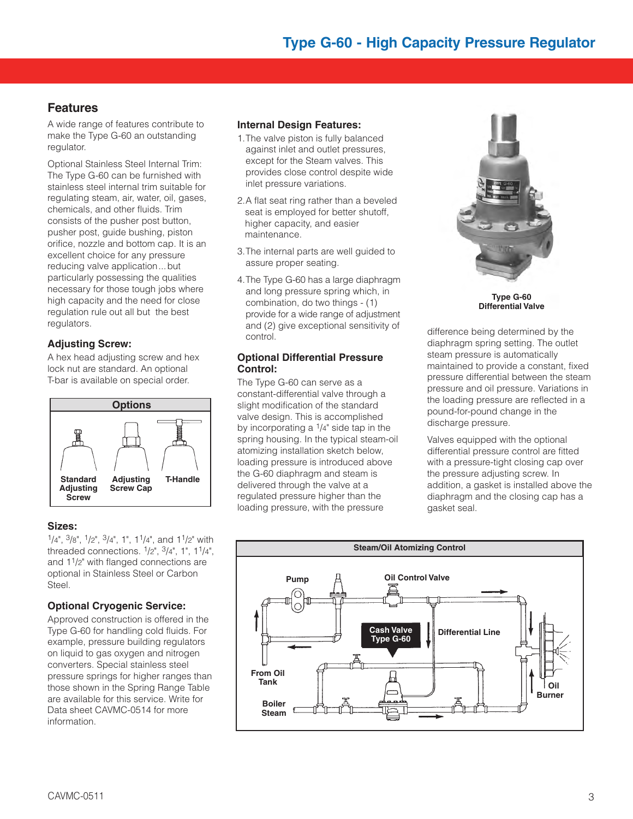#### **Features**

A wide range of features contribute to make the Type G-60 an outstanding regulator.

Optional Stainless Steel Internal Trim: The Type G-60 can be furnished with stainless steel internal trim suitable for regulating steam, air, water, oil, gases, chemicals, and other fluids. Trim consists of the pusher post button, pusher post, guide bushing, piston orifice, nozzle and bottom cap. It is an excellent choice for any pressure reducing valve application...but particularly possessing the qualities necessary for those tough jobs where high capacity and the need for close regulation rule out all but the best regulators.

#### **Adjusting Screw:**

A hex head adjusting screw and hex lock nut are standard. An optional T-bar is available on special order.



#### **Sizes:**

1/4", 3/8", 1/2", 3/4", 1", 11/4", and 11/2" with threaded connections. 1/2", 3/4", 1", 11/4", and  $1<sup>1</sup>/2$ " with flanged connections are optional in Stainless Steel or Carbon Steel.

#### **Optional Cryogenic Service:**

Approved construction is offered in the Type G-60 for handling cold fluids. For example, pressure building regulators on liquid to gas oxygen and nitrogen converters. Special stainless steel pressure springs for higher ranges than those shown in the Spring Range Table are available for this service. Write for Data sheet CAVMC-0514 for more information.

#### **Internal Design Features:**

- 1.The valve piston is fully balanced against inlet and outlet pressures, except for the Steam valves. This provides close control despite wide inlet pressure variations.
- 2.A flat seat ring rather than a beveled seat is employed for better shutoff, higher capacity, and easier maintenance.
- 3.The internal parts are well guided to assure proper seating.
- 4.The Type G-60 has a large diaphragm and long pressure spring which, in combination, do two things - (1) provide for a wide range of adjustment and (2) give exceptional sensitivity of control.

#### **Optional Differential Pressure Control:**

The Type G-60 can serve as a constant-differential valve through a slight modification of the standard valve design. This is accomplished by incorporating a  $1/4$ " side tap in the spring housing. In the typical steam-oil atomizing installation sketch below, loading pressure is introduced above the G-60 diaphragm and steam is delivered through the valve at a regulated pressure higher than the loading pressure, with the pressure



**Type G-60 Differential Valve**

difference being determined by the diaphragm spring setting. The outlet steam pressure is automatically maintained to provide a constant, fixed pressure differential between the steam pressure and oil pressure. Variations in the loading pressure are reflected in a pound-for-pound change in the discharge pressure.

Valves equipped with the optional differential pressure control are fitted with a pressure-tight closing cap over the pressure adjusting screw. In addition, a gasket is installed above the diaphragm and the closing cap has a gasket seal.

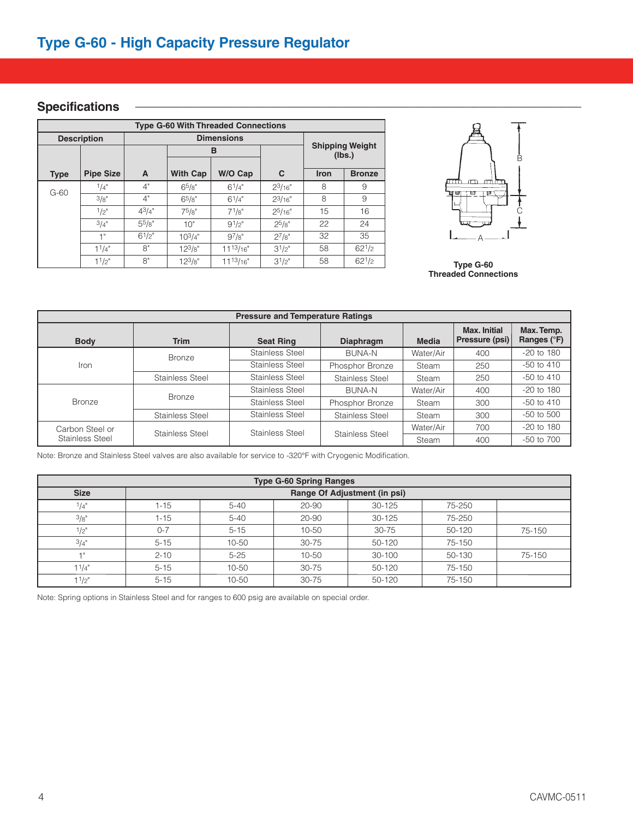#### $S$  pecifications

| <b>Type G-60 With Threaded Connections</b> |                     |             |                   |               |             |                                  |               |  |  |  |
|--------------------------------------------|---------------------|-------------|-------------------|---------------|-------------|----------------------------------|---------------|--|--|--|
|                                            | <b>Description</b>  |             | <b>Dimensions</b> |               |             |                                  |               |  |  |  |
|                                            |                     |             |                   | в             |             | <b>Shipping Weight</b><br>(lbs.) |               |  |  |  |
| <b>Type</b>                                | <b>Pipe Size</b>    | A           | <b>With Cap</b>   | W/O Cap       | C           | <b>Iron</b>                      | <b>Bronze</b> |  |  |  |
| $G-60$                                     | 1/4"                | 4"          | 65/8"             | $6^{1}/4"$    | $2^{3}/16"$ | 8                                | 9             |  |  |  |
|                                            | 3/8"                | 4"          | 65/8"             | $6^{1}/4"$    | $2^{3}/16"$ | 8                                | 9             |  |  |  |
|                                            | $4^{3}/4"$<br>1/p'' |             | 75/8"             | $7^{1}/8"$    | $2^{5/16"$  | 15                               | 16            |  |  |  |
|                                            | 3/4"                | $5^{5}/8"$  | 10"               | 91/2"         | $2^{5/8"}$  | 22                               | 24            |  |  |  |
|                                            | 1"                  | $6^{1}/2$ " | $10^{3/4"$        | 97/g''        | $2^{7}/8"$  | 32                               | 35            |  |  |  |
|                                            | 11/4"               | 8"          | $12^{3}/8"$       | $11^{13}/16"$ | $3^{1/2}$   | 58                               | $62^{1/2}$    |  |  |  |
|                                            | 11/2"               | 8"          | $12^{3}/8"$       | $11^{13}/16"$ | $3^{1/2"$   | 58                               | $62^{1/2}$    |  |  |  |



**Type G-60 Threaded Connections**

| <b>Pressure and Temperature Ratings</b> |                        |                                    |                  |              |                                       |                           |  |  |  |  |
|-----------------------------------------|------------------------|------------------------------------|------------------|--------------|---------------------------------------|---------------------------|--|--|--|--|
| <b>Body</b>                             | <b>Trim</b>            | <b>Seat Ring</b>                   | <b>Diaphragm</b> | <b>Media</b> | <b>Max. Initial</b><br>Pressure (psi) | Max. Temp.<br>Ranges (°F) |  |  |  |  |
|                                         | <b>Bronze</b>          | Stainless Steel<br><b>BUNA-N</b>   |                  | Water/Air    | 400                                   | $-20$ to 180              |  |  |  |  |
| Iron                                    |                        | Stainless Steel<br>Phosphor Bronze |                  | <b>Steam</b> | 250                                   | $-50$ to $410$            |  |  |  |  |
|                                         | Stainless Steel        | Stainless Steel                    | Stainless Steel  | Steam        | 250                                   | $-50$ to $410$            |  |  |  |  |
|                                         |                        | Stainless Steel                    | <b>BUNA-N</b>    | Water/Air    | 400                                   | $-20$ to 180              |  |  |  |  |
| <b>Bronze</b>                           | <b>Bronze</b>          | Stainless Steel                    | Phosphor Bronze  | Steam        | 300                                   | $-50$ to $410$            |  |  |  |  |
|                                         | <b>Stainless Steel</b> | Stainless Steel                    | Stainless Steel  | Steam        | 300                                   | $-50$ to $500$            |  |  |  |  |
| Carbon Steel or                         | Stainless Steel        | Stainless Steel                    | Stainless Steel  | Water/Air    | 700                                   | $-20$ to 180              |  |  |  |  |
| Stainless Steel                         |                        |                                    |                  | Steam        | 400                                   | $-50$ to $700$            |  |  |  |  |

Note: Bronze and Stainless Steel valves are also available for service to -320°F with Cryogenic Modification.

| <b>Type G-60 Spring Ranges</b> |                              |           |           |           |        |        |  |  |  |  |
|--------------------------------|------------------------------|-----------|-----------|-----------|--------|--------|--|--|--|--|
| <b>Size</b>                    | Range Of Adjustment (in psi) |           |           |           |        |        |  |  |  |  |
| 1/4"                           | 1-15                         | $5 - 40$  | 20-90     | 30-125    | 75-250 |        |  |  |  |  |
| 3/8"                           | 1-15                         | $5 - 40$  | 20-90     | 30-125    | 75-250 |        |  |  |  |  |
| 1/2"                           | $0 - 7$                      | $5 - 15$  | 10-50     | $30 - 75$ | 50-120 | 75-150 |  |  |  |  |
| 3/4"                           | $5 - 15$                     | $10 - 50$ | $30 - 75$ | 50-120    | 75-150 |        |  |  |  |  |
|                                | $2 - 10$                     | $5 - 25$  | 10-50     | 30-100    | 50-130 | 75-150 |  |  |  |  |
| 1 <sup>1</sup> /4"             | $5 - 15$                     | 10-50     | $30 - 75$ | 50-120    | 75-150 |        |  |  |  |  |
| 1 <sup>1</sup> /2"             | $5 - 15$                     | 10-50     | $30 - 75$ | 50-120    | 75-150 |        |  |  |  |  |

Note: Spring options in Stainless Steel and for ranges to 600 psig are available on special order.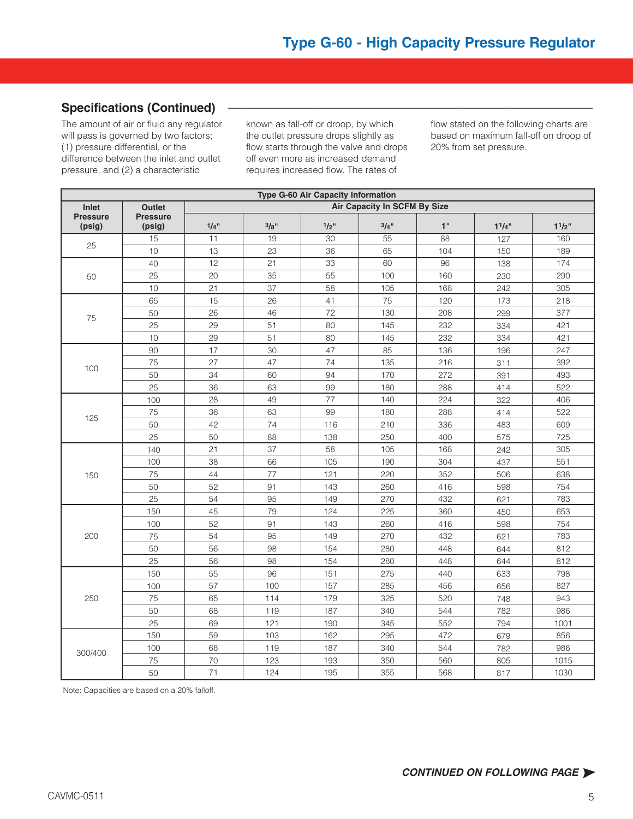#### **Specifications (Continued) \_\_\_\_\_\_\_\_\_\_\_\_\_\_\_\_\_\_\_\_\_\_\_\_\_\_\_\_\_\_\_\_\_\_\_\_\_\_\_\_\_\_\_\_\_\_\_\_\_\_\_\_\_\_**

The amount of air or fluid any regulator will pass is governed by two factors; (1) pressure differential, or the difference between the inlet and outlet pressure, and (2) a characteristic

known as fall-off or droop, by which the outlet pressure drops slightly as flow starts through the valve and drops off even more as increased demand requires increased flow. The rates of

flow stated on the following charts are based on maximum fall-off on droop of 20% from set pressure.

|                           | Type G-60 Air Capacity Information            |      |      |         |      |                                                                                                                                                                                                                |                                                                                                                                                                                                                       |       |  |  |
|---------------------------|-----------------------------------------------|------|------|---------|------|----------------------------------------------------------------------------------------------------------------------------------------------------------------------------------------------------------------|-----------------------------------------------------------------------------------------------------------------------------------------------------------------------------------------------------------------------|-------|--|--|
| Inlet                     | <b>Air Capacity In SCFM By Size</b><br>Outlet |      |      |         |      |                                                                                                                                                                                                                |                                                                                                                                                                                                                       |       |  |  |
| <b>Pressure</b><br>(psig) | <b>Pressure</b><br>(psig)                     | 1/4" | 3/8" | $1/2$ " | 3/4" | 1"                                                                                                                                                                                                             | 11/4"                                                                                                                                                                                                                 | 11/2" |  |  |
|                           | 15                                            | 11   | 19   | 30      | 55   | 88                                                                                                                                                                                                             | 127                                                                                                                                                                                                                   | 160   |  |  |
| 25                        | 10                                            | 13   | 23   | 36      | 65   | 104                                                                                                                                                                                                            | 150                                                                                                                                                                                                                   | 189   |  |  |
|                           | 40                                            | 12   | 21   | 33      | 60   | 96                                                                                                                                                                                                             | 138                                                                                                                                                                                                                   | 174   |  |  |
| 50                        | 25                                            | 20   | 35   | 55      | 100  | 160                                                                                                                                                                                                            | 230                                                                                                                                                                                                                   | 290   |  |  |
|                           | 10                                            | 21   | 37   | 58      | 105  | 168                                                                                                                                                                                                            | 242<br>173<br>299<br>334<br>334<br>196<br>311<br>391<br>414<br>322<br>414<br>483<br>575<br>242<br>437<br>506<br>598<br>621<br>450<br>598<br>621<br>644<br>644<br>633<br>656<br>748<br>782<br>794<br>679<br>782<br>805 | 305   |  |  |
|                           | 65                                            | 15   | 26   | 41      | 75   | 120                                                                                                                                                                                                            |                                                                                                                                                                                                                       | 218   |  |  |
| 75                        | 50                                            | 26   | 46   | 72      | 130  | 208                                                                                                                                                                                                            |                                                                                                                                                                                                                       | 377   |  |  |
|                           | 25                                            | 29   | 51   | 80      | 145  | 232<br>232<br>136<br>216<br>272<br>288<br>224<br>288<br>336<br>400<br>168<br>304<br>352<br>416<br>432<br>360<br>416<br>432<br>448<br>448<br>440<br>456<br>520<br>544<br>552<br>472<br>544<br>560<br>568<br>817 |                                                                                                                                                                                                                       | 421   |  |  |
|                           | 10                                            | 29   | 51   | 80      | 145  |                                                                                                                                                                                                                |                                                                                                                                                                                                                       | 421   |  |  |
|                           | 90                                            | 17   | 30   | 47      | 85   |                                                                                                                                                                                                                |                                                                                                                                                                                                                       | 247   |  |  |
|                           | 75                                            | 27   | 47   | 74      | 135  |                                                                                                                                                                                                                |                                                                                                                                                                                                                       | 392   |  |  |
| 100                       | 50                                            | 34   | 60   | 94      | 170  |                                                                                                                                                                                                                |                                                                                                                                                                                                                       | 493   |  |  |
|                           | 25                                            | 36   | 63   | 99      | 180  |                                                                                                                                                                                                                |                                                                                                                                                                                                                       | 522   |  |  |
|                           | 100                                           | 28   | 49   | 77      | 140  |                                                                                                                                                                                                                |                                                                                                                                                                                                                       | 406   |  |  |
|                           | 75                                            | 36   | 63   | 99      | 180  |                                                                                                                                                                                                                |                                                                                                                                                                                                                       | 522   |  |  |
| 125                       | 50                                            | 42   | 74   | 116     | 210  |                                                                                                                                                                                                                |                                                                                                                                                                                                                       | 609   |  |  |
|                           | 25                                            | 50   | 88   | 138     | 250  |                                                                                                                                                                                                                |                                                                                                                                                                                                                       | 725   |  |  |
|                           | 140                                           | 21   | 37   | 58      | 105  |                                                                                                                                                                                                                |                                                                                                                                                                                                                       | 305   |  |  |
|                           | 100                                           | 38   | 66   | 105     | 190  |                                                                                                                                                                                                                |                                                                                                                                                                                                                       | 551   |  |  |
| 150                       | 75                                            | 44   | 77   | 121     | 220  |                                                                                                                                                                                                                |                                                                                                                                                                                                                       | 638   |  |  |
|                           | 50                                            | 52   | 91   | 143     | 260  |                                                                                                                                                                                                                |                                                                                                                                                                                                                       | 754   |  |  |
|                           | 25                                            | 54   | 95   | 149     | 270  |                                                                                                                                                                                                                |                                                                                                                                                                                                                       | 783   |  |  |
|                           | 150                                           | 45   | 79   | 124     | 225  |                                                                                                                                                                                                                |                                                                                                                                                                                                                       | 653   |  |  |
|                           | 100                                           | 52   | 91   | 143     | 260  |                                                                                                                                                                                                                |                                                                                                                                                                                                                       | 754   |  |  |
| 200                       | 75                                            | 54   | 95   | 149     | 270  |                                                                                                                                                                                                                |                                                                                                                                                                                                                       | 783   |  |  |
|                           | 50                                            | 56   | 98   | 154     | 280  |                                                                                                                                                                                                                |                                                                                                                                                                                                                       | 812   |  |  |
|                           | 25                                            | 56   | 98   | 154     | 280  |                                                                                                                                                                                                                |                                                                                                                                                                                                                       | 812   |  |  |
|                           | 150                                           | 55   | 96   | 151     | 275  |                                                                                                                                                                                                                |                                                                                                                                                                                                                       | 798   |  |  |
|                           | 100                                           | 57   | 100  | 157     | 285  |                                                                                                                                                                                                                |                                                                                                                                                                                                                       | 827   |  |  |
| 250                       | 75                                            | 65   | 114  | 179     | 325  |                                                                                                                                                                                                                |                                                                                                                                                                                                                       | 943   |  |  |
|                           | 50                                            | 68   | 119  | 187     | 340  |                                                                                                                                                                                                                |                                                                                                                                                                                                                       | 986   |  |  |
|                           | 25                                            | 69   | 121  | 190     | 345  |                                                                                                                                                                                                                |                                                                                                                                                                                                                       | 1001  |  |  |
|                           | 150                                           | 59   | 103  | 162     | 295  |                                                                                                                                                                                                                |                                                                                                                                                                                                                       | 856   |  |  |
| 300/400                   | 100                                           | 68   | 119  | 187     | 340  |                                                                                                                                                                                                                |                                                                                                                                                                                                                       | 986   |  |  |
|                           | 75                                            | 70   | 123  | 193     | 350  |                                                                                                                                                                                                                |                                                                                                                                                                                                                       | 1015  |  |  |
|                           | 50                                            | 71   | 124  | 195     | 355  |                                                                                                                                                                                                                |                                                                                                                                                                                                                       | 1030  |  |  |

Note: Capacities are based on a 20% falloff.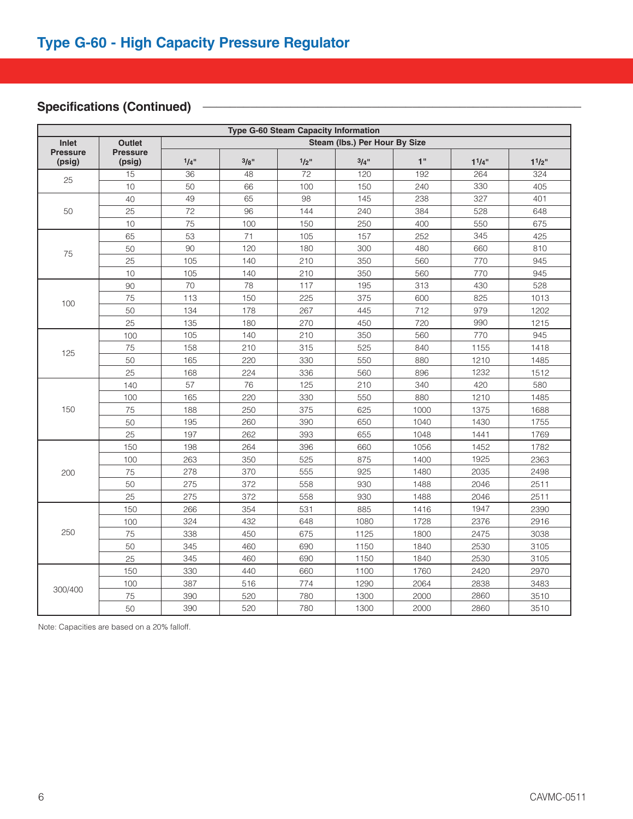### Specifications (Continued) **<b>with any continued with a set of the set of the set of the set of the set of the set of the set of the set of the set of the set of the set of the set of the set of the set of the set of the**

| <b>Type G-60 Steam Capacity Information</b> |                                         |      |      |                 |      |                                                                                                                                                                                                                                                                                                                                                                                                                                            |       |       |  |  |
|---------------------------------------------|-----------------------------------------|------|------|-----------------|------|--------------------------------------------------------------------------------------------------------------------------------------------------------------------------------------------------------------------------------------------------------------------------------------------------------------------------------------------------------------------------------------------------------------------------------------------|-------|-------|--|--|
| Inlet                                       | Steam (Ibs.) Per Hour By Size<br>Outlet |      |      |                 |      |                                                                                                                                                                                                                                                                                                                                                                                                                                            |       |       |  |  |
| <b>Pressure</b><br>(psig)                   | <b>Pressure</b><br>(psig)               | 1/4" | 3/8" | 1/2"            | 3/4" | 1"                                                                                                                                                                                                                                                                                                                                                                                                                                         | 11/4" | 11/2" |  |  |
| 25                                          | 15                                      | 36   | 48   | $\overline{72}$ | 120  | 192                                                                                                                                                                                                                                                                                                                                                                                                                                        | 264   | 324   |  |  |
|                                             | 10                                      | 50   | 66   | 100             | 150  | 240                                                                                                                                                                                                                                                                                                                                                                                                                                        | 330   | 405   |  |  |
|                                             | 40                                      | 49   | 65   | 98              | 145  | 238                                                                                                                                                                                                                                                                                                                                                                                                                                        | 327   | 401   |  |  |
| 50                                          | 25                                      | 72   | 96   | 144             | 240  | 384                                                                                                                                                                                                                                                                                                                                                                                                                                        | 528   | 648   |  |  |
|                                             | 10                                      | 75   | 100  | 150             | 250  | 400                                                                                                                                                                                                                                                                                                                                                                                                                                        | 550   | 675   |  |  |
|                                             | 65                                      | 53   | 71   | 105             | 157  | 252                                                                                                                                                                                                                                                                                                                                                                                                                                        | 345   | 425   |  |  |
| 75                                          | 50                                      | 90   | 120  | 180             | 300  | 480                                                                                                                                                                                                                                                                                                                                                                                                                                        | 660   | 810   |  |  |
|                                             | 25                                      | 105  | 140  | 210             | 350  | 560                                                                                                                                                                                                                                                                                                                                                                                                                                        | 770   | 945   |  |  |
|                                             | 10                                      | 105  | 140  | 210             | 350  | 560<br>770<br>313<br>430<br>825<br>600<br>712<br>979<br>720<br>990<br>770<br>560<br>840<br>1155<br>880<br>1210<br>1232<br>896<br>420<br>340<br>880<br>1210<br>1000<br>1375<br>1040<br>1430<br>1048<br>1441<br>1452<br>1056<br>1400<br>1925<br>1480<br>2035<br>1488<br>2046<br>1488<br>2046<br>1947<br>1416<br>1728<br>2376<br>1800<br>2475<br>1840<br>2530<br>1840<br>2530<br>1760<br>2420<br>2064<br>2838<br>2000<br>2860<br>2000<br>2860 |       | 945   |  |  |
|                                             | 90                                      | 70   | 78   | 117             | 195  |                                                                                                                                                                                                                                                                                                                                                                                                                                            |       | 528   |  |  |
| 100                                         | 75                                      | 113  | 150  | 225             | 375  |                                                                                                                                                                                                                                                                                                                                                                                                                                            |       | 1013  |  |  |
|                                             | 50                                      | 134  | 178  | 267             | 445  |                                                                                                                                                                                                                                                                                                                                                                                                                                            |       | 1202  |  |  |
|                                             | 25                                      | 135  | 180  | 270             | 450  |                                                                                                                                                                                                                                                                                                                                                                                                                                            |       | 1215  |  |  |
|                                             | 100                                     | 105  | 140  | 210             | 350  |                                                                                                                                                                                                                                                                                                                                                                                                                                            |       | 945   |  |  |
| 125                                         | 75                                      | 158  | 210  | 315             | 525  |                                                                                                                                                                                                                                                                                                                                                                                                                                            |       | 1418  |  |  |
|                                             | 50                                      | 165  | 220  | 330             | 550  |                                                                                                                                                                                                                                                                                                                                                                                                                                            |       | 1485  |  |  |
|                                             | 25                                      | 168  | 224  | 336             | 560  |                                                                                                                                                                                                                                                                                                                                                                                                                                            |       | 1512  |  |  |
|                                             | 140                                     | 57   | 76   | 125             | 210  |                                                                                                                                                                                                                                                                                                                                                                                                                                            |       | 580   |  |  |
|                                             | 100                                     | 165  | 220  | 330             | 550  |                                                                                                                                                                                                                                                                                                                                                                                                                                            |       | 1485  |  |  |
| 150                                         | 75                                      | 188  | 250  | 375             | 625  |                                                                                                                                                                                                                                                                                                                                                                                                                                            |       | 1688  |  |  |
|                                             | 50                                      | 195  | 260  | 390             | 650  |                                                                                                                                                                                                                                                                                                                                                                                                                                            |       | 1755  |  |  |
|                                             | 25                                      | 197  | 262  | 393             | 655  |                                                                                                                                                                                                                                                                                                                                                                                                                                            |       | 1769  |  |  |
|                                             | 150                                     | 198  | 264  | 396             | 660  |                                                                                                                                                                                                                                                                                                                                                                                                                                            |       | 1782  |  |  |
|                                             | 100                                     | 263  | 350  | 525             | 875  |                                                                                                                                                                                                                                                                                                                                                                                                                                            |       | 2363  |  |  |
| 200                                         | 75                                      | 278  | 370  | 555             | 925  |                                                                                                                                                                                                                                                                                                                                                                                                                                            |       | 2498  |  |  |
|                                             | 50                                      | 275  | 372  | 558             | 930  |                                                                                                                                                                                                                                                                                                                                                                                                                                            |       | 2511  |  |  |
|                                             | 25                                      | 275  | 372  | 558             | 930  |                                                                                                                                                                                                                                                                                                                                                                                                                                            |       | 2511  |  |  |
|                                             | 150                                     | 266  | 354  | 531             | 885  |                                                                                                                                                                                                                                                                                                                                                                                                                                            |       | 2390  |  |  |
|                                             | 100                                     | 324  | 432  | 648             | 1080 |                                                                                                                                                                                                                                                                                                                                                                                                                                            |       | 2916  |  |  |
| 250                                         | 75                                      | 338  | 450  | 675             | 1125 |                                                                                                                                                                                                                                                                                                                                                                                                                                            |       | 3038  |  |  |
|                                             | 50                                      | 345  | 460  | 690             | 1150 |                                                                                                                                                                                                                                                                                                                                                                                                                                            |       | 3105  |  |  |
|                                             | 25                                      | 345  | 460  | 690             | 1150 |                                                                                                                                                                                                                                                                                                                                                                                                                                            |       | 3105  |  |  |
|                                             | 150                                     | 330  | 440  | 660             | 1100 |                                                                                                                                                                                                                                                                                                                                                                                                                                            |       | 2970  |  |  |
|                                             | 100                                     | 387  | 516  | 774             | 1290 |                                                                                                                                                                                                                                                                                                                                                                                                                                            |       | 3483  |  |  |
| 300/400                                     | 75                                      | 390  | 520  | 780             | 1300 |                                                                                                                                                                                                                                                                                                                                                                                                                                            |       | 3510  |  |  |
|                                             | 50                                      | 390  | 520  | 780             | 1300 |                                                                                                                                                                                                                                                                                                                                                                                                                                            |       | 3510  |  |  |

Note: Capacities are based on a 20% falloff.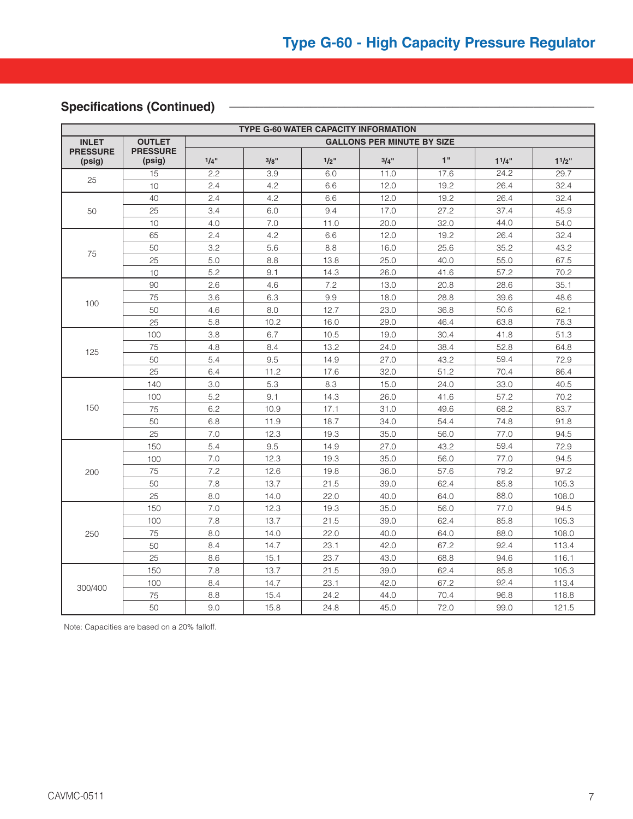### **Specifications (Continued) \_\_\_\_\_\_\_\_\_\_\_\_\_\_\_\_\_\_\_\_\_\_\_\_\_\_\_\_\_\_\_\_\_\_\_\_\_\_\_\_\_\_\_\_\_\_\_\_\_\_\_\_\_\_**

| <b>TYPE G-60 WATER CAPACITY INFORMATION</b> |                           |                                   |      |         |      |      |             |           |  |
|---------------------------------------------|---------------------------|-----------------------------------|------|---------|------|------|-------------|-----------|--|
| <b>INLET</b>                                | <b>OUTLET</b>             | <b>GALLONS PER MINUTE BY SIZE</b> |      |         |      |      |             |           |  |
| <b>PRESSURE</b><br>(psig)                   | <b>PRESSURE</b><br>(psig) | 1/4"                              | 3/8" | $1/2$ " | 3/4" | 1"   | $1^{1}/4$ " | $1^{1/2}$ |  |
|                                             | 15                        | 2.2                               | 3.9  | 6.0     | 11.0 | 17.6 | 24.2        | 29.7      |  |
| 25                                          | 10                        | 2.4                               | 4.2  | 6.6     | 12.0 | 19.2 | 26.4        | 32.4      |  |
|                                             | 40                        | 2.4                               | 4.2  | 6.6     | 12.0 | 19.2 | 26.4        | 32.4      |  |
| 50                                          | 25                        | 3.4                               | 6.0  | 9.4     | 17.0 | 27.2 | 37.4        | 45.9      |  |
|                                             | 10                        | 4.0                               | 7.0  | 11.0    | 20.0 | 32.0 | 44.0        | 54.0      |  |
|                                             | 65                        | 2.4                               | 4.2  | 6.6     | 12.0 | 19.2 | 26.4        | 32.4      |  |
|                                             | 50                        | 3.2                               | 5.6  | 8.8     | 16.0 | 25.6 | 35.2        | 43.2      |  |
| 75                                          | 25                        | 5.0                               | 8.8  | 13.8    | 25.0 | 40.0 | 55.0        | 67.5      |  |
|                                             | 10                        | 5.2                               | 9.1  | 14.3    | 26.0 | 41.6 | 57.2        | 70.2      |  |
|                                             | 90                        | 2.6                               | 4.6  | 7.2     | 13.0 | 20.8 | 28.6        | 35.1      |  |
|                                             | 75                        | 3.6                               | 6.3  | 9.9     | 18.0 | 28.8 | 39.6        | 48.6      |  |
| 100                                         | 50                        | 4.6                               | 8.0  | 12.7    | 23.0 | 36.8 | 50.6        | 62.1      |  |
|                                             | 25                        | 5.8                               | 10.2 | 16.0    | 29.0 | 46.4 | 63.8        | 78.3      |  |
|                                             | 100                       | 3.8                               | 6.7  | 10.5    | 19.0 | 30.4 | 41.8        | 51.3      |  |
| 125                                         | 75                        | 4.8                               | 8.4  | 13.2    | 24.0 | 38.4 | 52.8        | 64.8      |  |
|                                             | 50                        | 5.4                               | 9.5  | 14.9    | 27.0 | 43.2 | 59.4        | 72.9      |  |
|                                             | 25                        | 6.4                               | 11.2 | 17.6    | 32.0 | 51.2 | 70.4        | 86.4      |  |
|                                             | 140                       | 3.0                               | 5.3  | 8.3     | 15.0 | 24.0 | 33.0        | 40.5      |  |
|                                             | 100                       | 5.2                               | 9.1  | 14.3    | 26.0 | 41.6 | 57.2        | 70.2      |  |
| 150                                         | 75                        | 6.2                               | 10.9 | 17.1    | 31.0 | 49.6 | 68.2        | 83.7      |  |
|                                             | 50                        | 6.8                               | 11.9 | 18.7    | 34.0 | 54.4 | 74.8        | 91.8      |  |
|                                             | 25                        | 7.0                               | 12.3 | 19.3    | 35.0 | 56.0 | 77.0        | 94.5      |  |
|                                             | 150                       | 5.4                               | 9.5  | 14.9    | 27.0 | 43.2 | 59.4        | 72.9      |  |
|                                             | 100                       | 7.0                               | 12.3 | 19.3    | 35.0 | 56.0 | 77.0        | 94.5      |  |
| 200                                         | 75                        | 7.2                               | 12.6 | 19.8    | 36.0 | 57.6 | 79.2        | 97.2      |  |
|                                             | 50                        | 7.8                               | 13.7 | 21.5    | 39.0 | 62.4 | 85.8        | 105.3     |  |
|                                             | 25                        | 8.0                               | 14.0 | 22.0    | 40.0 | 64.0 | 88.0        | 108.0     |  |
|                                             | 150                       | 7.0                               | 12.3 | 19.3    | 35.0 | 56.0 | 77.0        | 94.5      |  |
|                                             | 100                       | 7.8                               | 13.7 | 21.5    | 39.0 | 62.4 | 85.8        | 105.3     |  |
| 250                                         | 75                        | 8.0                               | 14.0 | 22.0    | 40.0 | 64.0 | 88.0        | 108.0     |  |
|                                             | 50                        | 8.4                               | 14.7 | 23.1    | 42.0 | 67.2 | 92.4        | 113.4     |  |
|                                             | 25                        | 8.6                               | 15.1 | 23.7    | 43.0 | 68.8 | 94.6        | 116.1     |  |
|                                             | 150                       | 7.8                               | 13.7 | 21.5    | 39.0 | 62.4 | 85.8        | 105.3     |  |
|                                             | 100                       | 8.4                               | 14.7 | 23.1    | 42.0 | 67.2 | 92.4        | 113.4     |  |
| 300/400                                     | 75                        | 8.8                               | 15.4 | 24.2    | 44.0 | 70.4 | 96.8        | 118.8     |  |
|                                             | 50                        | 9.0                               | 15.8 | 24.8    | 45.0 | 72.0 | 99.0        | 121.5     |  |

Note: Capacities are based on a 20% falloff.